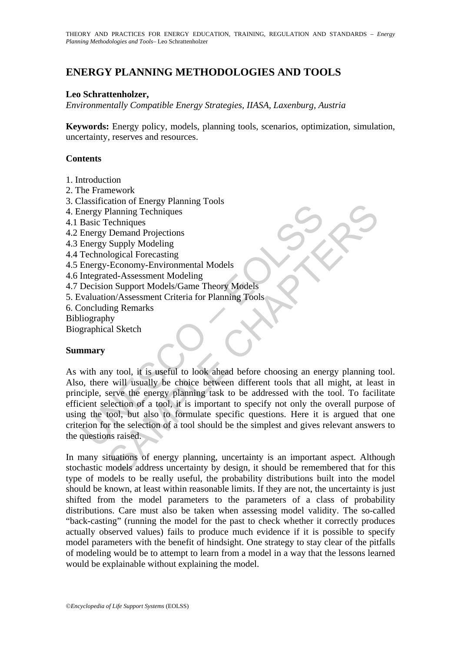# **ENERGY PLANNING METHODOLOGIES AND TOOLS**

# **Leo Schrattenholzer,**

*Environmentally Compatible Energy Strategies, IIASA, Laxenburg, Austria*

**Keywords:** Energy policy, models, planning tools, scenarios, optimization, simulation, uncertainty, reserves and resources.

# **Contents**

- 1. Introduction
- 2. The Framework
- 3. Classification of Energy Planning Tools
- 4. Energy Planning Techniques
- 4.1 Basic Techniques
- 4.2 Energy Demand Projections
- 4.3 Energy Supply Modeling
- 4.4 Technological Forecasting
- 4.5 Energy-Economy-Environmental Models
- 4.6 Integrated-Assessment Modeling
- 4.7 Decision Support Models/Game Theory Models
- 5. Evaluation/Assessment Criteria for Planning Tools
- 6. Concluding Remarks
- Bibliography
- Biographical Sketch

## **Summary**

mentation of mentation and Projections<br>
Intergy Planning Techniques<br>
Basic Techniques<br>
Basic Techniques<br>
Energy Supply Modeling<br>
Technological Forecasting<br>
Energy-Economy-Environmental Models<br>
Integrated-Assessment Modelin Command Projections<br>
Planning Techniques<br>
Cechniques<br>
Cechniques<br>
Cechniques<br>
Cechniques<br>
Sepapy Modeling<br>
In Support Modeling<br>
In Support Modeling<br>
In Support Models<br>
In Support Models<br>
In Support Models<br>
In Support Model As with any tool, it is useful to look ahead before choosing an energy planning tool. Also, there will usually be choice between different tools that all might, at least in principle, serve the energy planning task to be addressed with the tool. To facilitate efficient selection of a tool, it is important to specify not only the overall purpose of using the tool, but also to formulate specific questions. Here it is argued that one criterion for the selection of a tool should be the simplest and gives relevant answers to the questions raised.

In many situations of energy planning, uncertainty is an important aspect. Although stochastic models address uncertainty by design, it should be remembered that for this type of models to be really useful, the probability distributions built into the model should be known, at least within reasonable limits. If they are not, the uncertainty is just shifted from the model parameters to the parameters of a class of probability distributions. Care must also be taken when assessing model validity. The so-called "back-casting" (running the model for the past to check whether it correctly produces actually observed values) fails to produce much evidence if it is possible to specify model parameters with the benefit of hindsight. One strategy to stay clear of the pitfalls of modeling would be to attempt to learn from a model in a way that the lessons learned would be explainable without explaining the model.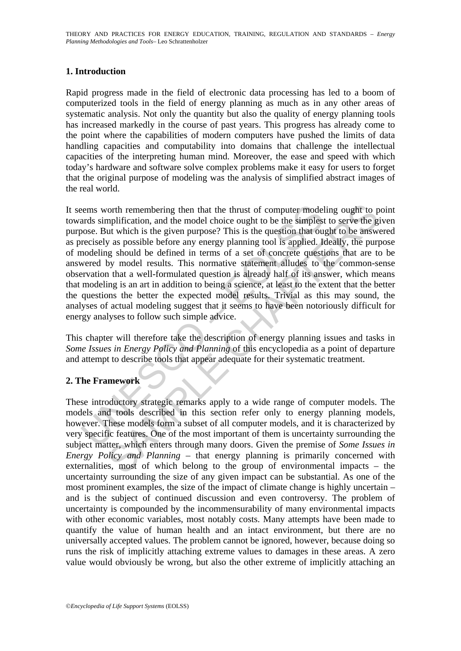# **1. Introduction**

Rapid progress made in the field of electronic data processing has led to a boom of computerized tools in the field of energy planning as much as in any other areas of systematic analysis. Not only the quantity but also the quality of energy planning tools has increased markedly in the course of past years. This progress has already come to the point where the capabilities of modern computers have pushed the limits of data handling capacities and computability into domains that challenge the intellectual capacities of the interpreting human mind. Moreover, the ease and speed with which today's hardware and software solve complex problems make it easy for users to forget that the original purpose of modeling was the analysis of simplified abstract images of the real world.

ens worth remembering then that the thrust of computer model<br>ards simplification, and the model choice ought to be the simplest<br>ose. But which is the given purpose? This is the question that ou<br>orcisely as possible before orth remembering then that the thrust of computer modeling ought to propification, and the model choice ought to be the simplest to serve the gut which is the given purpose? This is the question that ought to be answer as It seems worth remembering then that the thrust of computer modeling ought to point towards simplification, and the model choice ought to be the simplest to serve the given purpose. But which is the given purpose? This is the question that ought to be answered as precisely as possible before any energy planning tool is applied. Ideally, the purpose of modeling should be defined in terms of a set of concrete questions that are to be answered by model results. This normative statement alludes to the common-sense observation that a well-formulated question is already half of its answer, which means that modeling is an art in addition to being a science, at least to the extent that the better the questions the better the expected model results. Trivial as this may sound, the analyses of actual modeling suggest that it seems to have been notoriously difficult for energy analyses to follow such simple advice.

This chapter will therefore take the description of energy planning issues and tasks in *Some Issues in Energy Policy and Planning* of this encyclopedia as a point of departure and attempt to describe tools that appear adequate for their systematic treatment.

# **2. The Framework**

These introductory strategic remarks apply to a wide range of computer models. The models and tools described in this section refer only to energy planning models, however. These models form a subset of all computer models, and it is characterized by very specific features. One of the most important of them is uncertainty surrounding the subject matter, which enters through many doors. Given the premise of *Some Issues in Energy Policy and Planning* – that energy planning is primarily concerned with externalities, most of which belong to the group of environmental impacts – the uncertainty surrounding the size of any given impact can be substantial. As one of the most prominent examples, the size of the impact of climate change is highly uncertain – and is the subject of continued discussion and even controversy. The problem of uncertainty is compounded by the incommensurability of many environmental impacts with other economic variables, most notably costs. Many attempts have been made to quantify the value of human health and an intact environment, but there are no universally accepted values. The problem cannot be ignored, however, because doing so runs the risk of implicitly attaching extreme values to damages in these areas. A zero value would obviously be wrong, but also the other extreme of implicitly attaching an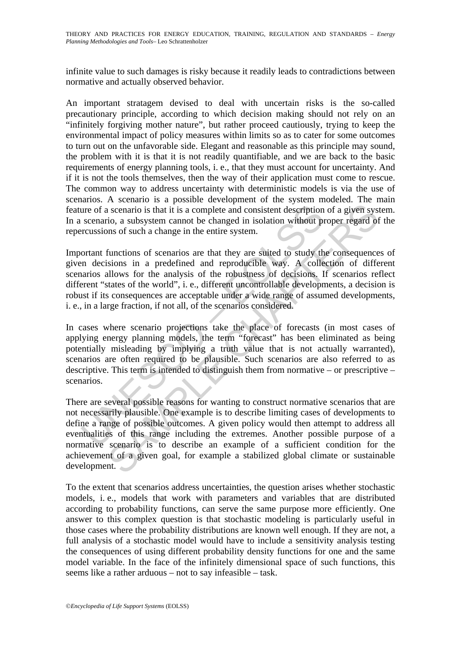infinite value to such damages is risky because it readily leads to contradictions between normative and actually observed behavior.

An important stratagem devised to deal with uncertain risks is the so-called precautionary principle, according to which decision making should not rely on an "infinitely forgiving mother nature", but rather proceed cautiously, trying to keep the environmental impact of policy measures within limits so as to cater for some outcomes to turn out on the unfavorable side. Elegant and reasonable as this principle may sound, the problem with it is that it is not readily quantifiable, and we are back to the basic requirements of energy planning tools, i. e., that they must account for uncertainty. And if it is not the tools themselves, then the way of their application must come to rescue. The common way to address uncertainty with deterministic models is via the use of scenarios. A scenario is a possible development of the system modeled. The main feature of a scenario is that it is a complete and consistent description of a given system. In a scenario, a subsystem cannot be changed in isolation without proper regard of the repercussions of such a change in the entire system.

Important functions of scenarios are that they are suited to study the consequences of given decisions in a predefined and reproducible way. A collection of different scenarios allows for the analysis of the robustness of decisions. If scenarios reflect different "states of the world", i. e., different uncontrollable developments, a decision is robust if its consequences are acceptable under a wide range of assumed developments, i. e., in a large fraction, if not all, of the scenarios considered.

ure of a scenario is that it is a complete and consistent description<br>scenario, a subsystem cannot be changed in isolation without pr<br>rcussions of such a change in the entire system.<br>ortant functions of scenarios are that In cases where scenario projections take the place of forecasts (in most cases of applying energy planning models, the term "forecast" has been eliminated as being potentially misleading by implying a truth value that is not actually warranted), scenarios are often required to be plausible. Such scenarios are also referred to as descriptive. This term is intended to distinguish them from normative – or prescriptive – scenarios.

is scenario is that it is a complete and consistent description of a given systic, a subsystem cannot be changed in isolation without proper regard of ms of such a change in the entire system.<br>
functions of scenarios are t There are several possible reasons for wanting to construct normative scenarios that are not necessarily plausible. One example is to describe limiting cases of developments to define a range of possible outcomes. A given policy would then attempt to address all eventualities of this range including the extremes. Another possible purpose of a normative scenario is to describe an example of a sufficient condition for the achievement of a given goal, for example a stabilized global climate or sustainable development.

To the extent that scenarios address uncertainties, the question arises whether stochastic models, i. e., models that work with parameters and variables that are distributed according to probability functions, can serve the same purpose more efficiently. One answer to this complex question is that stochastic modeling is particularly useful in those cases where the probability distributions are known well enough. If they are not, a full analysis of a stochastic model would have to include a sensitivity analysis testing the consequences of using different probability density functions for one and the same model variable. In the face of the infinitely dimensional space of such functions, this seems like a rather arduous – not to say infeasible – task.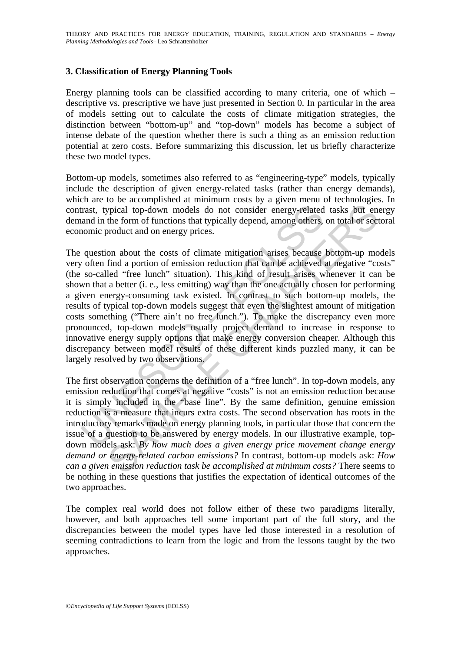# **3. Classification of Energy Planning Tools**

Energy planning tools can be classified according to many criteria, one of which – descriptive vs. prescriptive we have just presented in Section 0. In particular in the area of models setting out to calculate the costs of climate mitigation strategies, the distinction between "bottom-up" and "top-down" models has become a subject of intense debate of the question whether there is such a thing as an emission reduction potential at zero costs. Before summarizing this discussion, let us briefly characterize these two model types.

Bottom-up models, sometimes also referred to as "engineering-type" models, typically include the description of given energy-related tasks (rather than energy demands), which are to be accomplished at minimum costs by a given menu of technologies. In contrast, typical top-down models do not consider energy-related tasks but energy demand in the form of functions that typically depend, among others, on total or sectoral economic product and on energy prices.

trast, typical top-down models do not consider energy-related<br>and in the form of functions that typically depend, among others,<br>nomic product and on energy prices.<br>question about the costs of climate mitigation arises beca pyical top-down models do not consider energy-related tasks but energy-related top-down models do not consider energy-related tasks but energy-related tasks but energy incounts that the form of functions that typically de The question about the costs of climate mitigation arises because bottom-up models very often find a portion of emission reduction that can be achieved at negative "costs" (the so-called "free lunch" situation). This kind of result arises whenever it can be shown that a better (i. e., less emitting) way than the one actually chosen for performing a given energy-consuming task existed. In contrast to such bottom-up models, the results of typical top-down models suggest that even the slightest amount of mitigation costs something ("There ain't no free lunch."). To make the discrepancy even more pronounced, top-down models usually project demand to increase in response to innovative energy supply options that make energy conversion cheaper. Although this discrepancy between model results of these different kinds puzzled many, it can be largely resolved by two observations.

The first observation concerns the definition of a "free lunch". In top-down models, any emission reduction that comes at negative "costs" is not an emission reduction because it is simply included in the "base line". By the same definition, genuine emission reduction is a measure that incurs extra costs. The second observation has roots in the introductory remarks made on energy planning tools, in particular those that concern the issue of a question to be answered by energy models. In our illustrative example, topdown models ask: *By how much does a given energy price movement change energy demand or energy-related carbon emissions?* In contrast, bottom-up models ask: *How can a given emission reduction task be accomplished at minimum costs?* There seems to be nothing in these questions that justifies the expectation of identical outcomes of the two approaches.

The complex real world does not follow either of these two paradigms literally, however, and both approaches tell some important part of the full story, and the discrepancies between the model types have led those interested in a resolution of seeming contradictions to learn from the logic and from the lessons taught by the two approaches.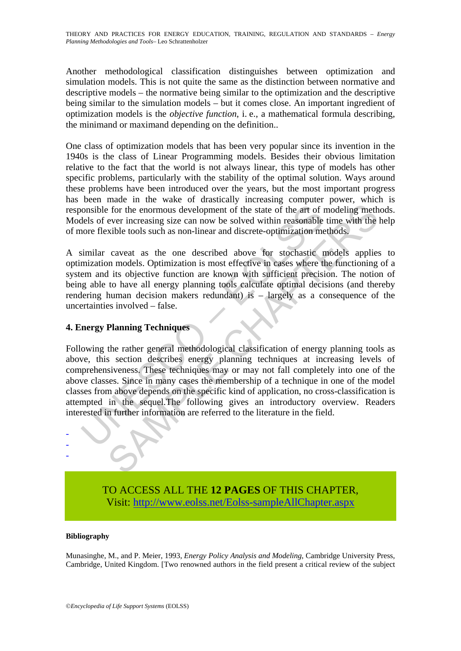THEORY AND PRACTICES FOR ENERGY EDUCATION, TRAINING, REGULATION AND STANDARDS – *Energy Planning Methodologies and Tools–* Leo Schrattenholzer

Another methodological classification distinguishes between optimization and simulation models. This is not quite the same as the distinction between normative and descriptive models – the normative being similar to the optimization and the descriptive being similar to the simulation models – but it comes close. An important ingredient of optimization models is the *objective function*, i. e., a mathematical formula describing, the minimand or maximand depending on the definition..

One class of optimization models that has been very popular since its invention in the 1940s is the class of Linear Programming models. Besides their obvious limitation relative to the fact that the world is not always linear, this type of models has other specific problems, particularly with the stability of the optimal solution. Ways around these problems have been introduced over the years, but the most important progress has been made in the wake of drastically increasing computer power, which is responsible for the enormous development of the state of the art of modeling methods. Models of ever increasing size can now be solved within reasonable time with the help of more flexible tools such as non-linear and discrete-optimization methods.

A similar caveat as the one described above for stochastic models applies to optimization models. Optimization is most effective in cases where the functioning of a system and its objective function are known with sufficient precision. The notion of being able to have all energy planning tools calculate optimal decisions (and thereby rendering human decision makers redundant) is – largely as a consequence of the uncertainties involved – false.

# **4. Energy Planning Techniques**

onsible for the enormous development of the state of the art of relates of ever increasing size can now be solved within reasonable once flexible tools such as non-linear and discrete-optimization me similar caveat as the The momentum of the state of the art of modeling meth<br>
the for the enormous development of the state of the art of modeling meth<br>
ever increasing size can now be solved within reasonable time with the<br>
xible tools such as Following the rather general methodological classification of energy planning tools as above, this section describes energy planning techniques at increasing levels of comprehensiveness. These techniques may or may not fall completely into one of the above classes. Since in many cases the membership of a technique in one of the model classes from above depends on the specific kind of application, no cross-classification is attempted in the sequel.The following gives an introductory overview. Readers interested in further information are referred to the literature in the field.

> TO ACCESS ALL THE **12 PAGES** OF THIS CHAPTER, Visit: [http://www.eolss.net/Eolss-sampleAllChapter.aspx](https://www.eolss.net/ebooklib/sc_cart.aspx?File=E3-03-10)

#### **Bibliography**

- - -

Munasinghe, M., and P. Meier, 1993, *Energy Policy Analysis and Modeling*, Cambridge University Press, Cambridge, United Kingdom. [Two renowned authors in the field present a critical review of the subject